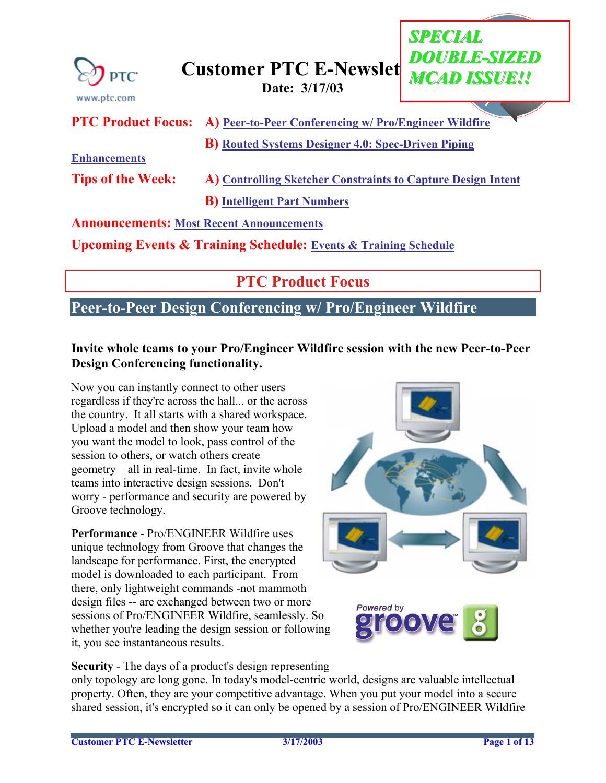<span id="page-0-0"></span>

## **Customer PTC E-Newslet CONSIGUE ANCAD ISSUE!!!**<br>Date: 3/17/03

|                                                                                | <b>PTC Product Focus:</b> A) Peer-to-Peer Conferencing w/ Pro/Engineer Wildfire |  |  |
|--------------------------------------------------------------------------------|---------------------------------------------------------------------------------|--|--|
|                                                                                | <b>B</b> ) Routed Systems Designer 4.0: Spec-Driven Piping                      |  |  |
| <b>Enhancements</b>                                                            |                                                                                 |  |  |
| <b>Tips of the Week:</b>                                                       | A) Controlling Sketcher Constraints to Capture Design Intent                    |  |  |
|                                                                                | <b>B</b> ) Intelligent Part Numbers                                             |  |  |
| <b>Announcements: Most Recent Announcements</b>                                |                                                                                 |  |  |
| <b>Upcoming Events &amp; Training Schedule: Events &amp; Training Schedule</b> |                                                                                 |  |  |
|                                                                                |                                                                                 |  |  |

## **PTC Product Focus**

### **Peer-to-Peer Design Conferencing w/ Pro/Engineer Wildfire**

#### **Invite whole teams to your Pro/Engineer Wildfire session with the new Peer-to-Peer Design Conferencing functionality.**

Now you can instantly connect to other users regardless if they're across the hall... or the across the country. It all starts with a shared workspace. Upload a model and then show your team how you want the model to look, pass control of the session to others, or watch others create geometry – all in real-time. In fact, invite whole teams into interactive design sessions. Don't worry - performance and security are powered by Groove technology.

**Performance** - Pro/ENGINEER Wildfire uses unique technology from Groove that changes the landscape for performance. First, the encrypted model is downloaded to each participant. From there, only lightweight commands -not mammoth design files -- are exchanged between two or more sessions of Pro/ENGINEER Wildfire, seamlessly. So whether you're leading the design session or following it, you see instantaneous results.



*SSPECIAL PECIAL*

*DDOUBLE-SIZED OUBLE-SIZED*



**Security** - The days of a product's design representing

only topology are long gone. In today's model-centric world, designs are valuable intellectual property. Often, they are your competitive advantage. When you put your model into a secure shared session, it's encrypted so it can only be opened by a session of Pro/ENGINEER Wildfire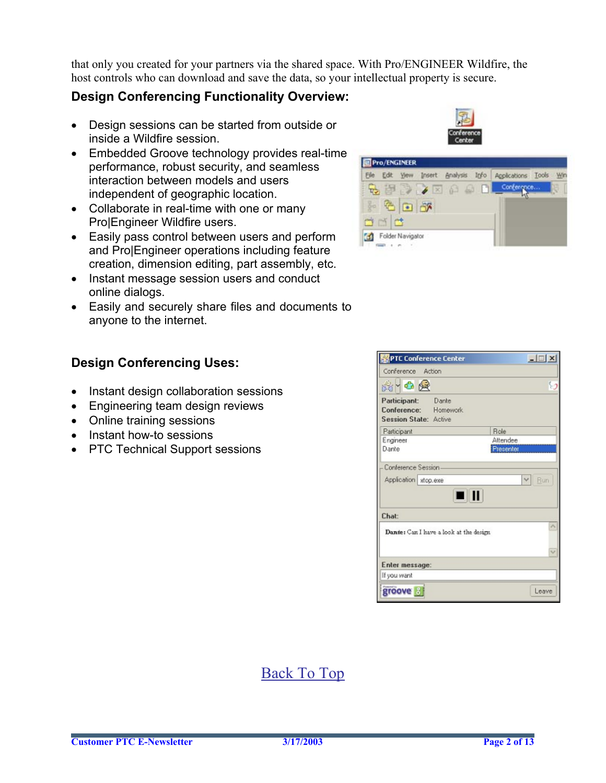that only you created for your partners via the shared space. With Pro/ENGINEER Wildfire, the host controls who can download and save the data, so your intellectual property is secure.

### **Design Conferencing Functionality Overview:**

- Design sessions can be started from outside or inside a Wildfire session.
- Embedded Groove technology provides real-time performance, robust security, and seamless interaction between models and users independent of geographic location.
- Collaborate in real-time with one or many Pro|Engineer Wildfire users.
- Easily pass control between users and perform and Pro|Engineer operations including feature creation, dimension editing, part assembly, etc.
- Instant message session users and conduct online dialogs.
- Easily and securely share files and documents to anyone to the internet.

### **Design Conferencing Uses:**

- Instant design collaboration sessions
- Engineering team design reviews
- Online training sessions
- Instant how-to sessions
- PTC Technical Support sessions



| Insert Analysis Info<br>Edit<br>File |   | Applications Tools |  |
|--------------------------------------|---|--------------------|--|
| $X \times \mathbb{R}$                | m | Conference         |  |
| 86                                   |   |                    |  |
| $\mathcal{A}$ .                      |   |                    |  |
|                                      |   |                    |  |

|                                             | <b>PTC Conference Center</b>           | $-121 \times$ |
|---------------------------------------------|----------------------------------------|---------------|
| Conference Action                           |                                        |               |
| 8-08                                        |                                        | 3             |
| Participant: Dante<br>Session State: Active | Conference: Homework                   |               |
| Participant                                 |                                        | <b>Role</b>   |
| Engineer                                    |                                        | Attendee      |
| Dante                                       |                                        | Presenter     |
|                                             | 0 II                                   |               |
| Chat:                                       |                                        |               |
|                                             | Dante: Can I have a look at the design |               |
|                                             |                                        |               |
| Enter message:                              |                                        |               |
| If you want                                 |                                        |               |
| groove <sup>3</sup>                         |                                        | Leave         |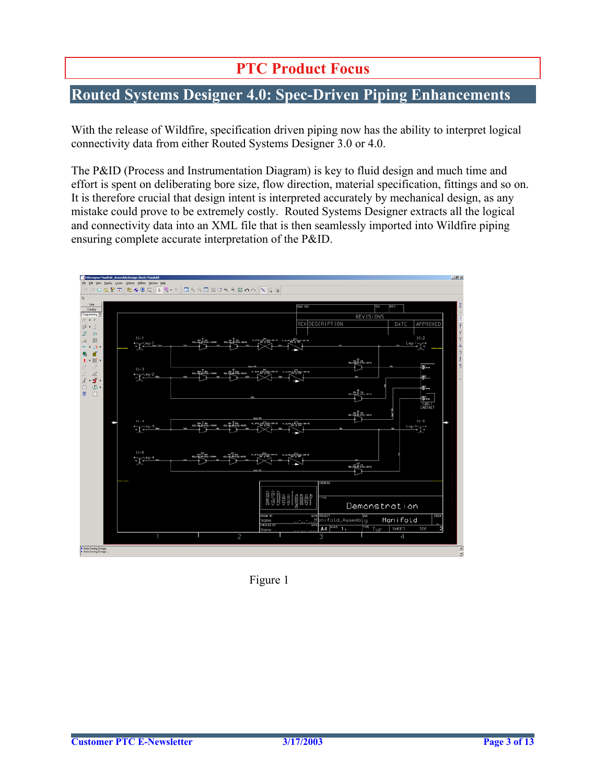## **PTC Product Focus**

### <span id="page-2-0"></span>**Routed Systems Designer 4.0: Spec-Driven Piping Enhancements**

With the release of Wildfire, specification driven piping now has the ability to interpret logical connectivity data from either Routed Systems Designer 3.0 or 4.0.

The P&ID (Process and Instrumentation Diagram) is key to fluid design and much time and effort is spent on deliberating bore size, flow direction, material specification, fittings and so on. It is therefore crucial that design intent is interpreted accurately by mechanical design, as any mistake could prove to be extremely costly. Routed Systems Designer extracts all the logical and connectivity data into an XML file that is then seamlessly imported into Wildfire piping ensuring complete accurate interpretation of the P&ID.



Figure 1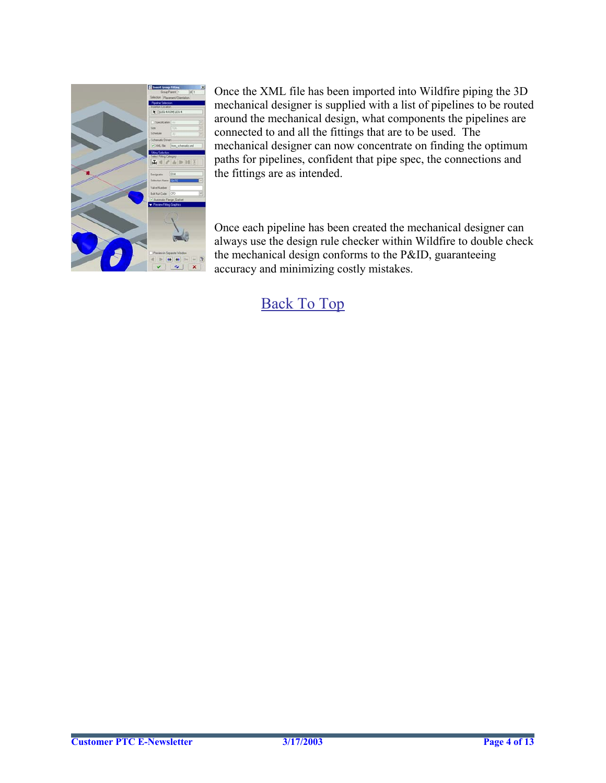

Once the XML file has been imported into Wildfire piping the 3D mechanical designer is supplied with a list of pipelines to be routed around the mechanical design, what components the pipelines are connected to and all the fittings that are to be used. The mechanical designer can now concentrate on finding the optimum paths for pipelines, confident that pipe spec, the connections and the fittings are as intended.

Once each pipeline has been created the mechanical designer can always use the design rule checker within Wildfire to double check the mechanical design conforms to the P&ID, guaranteeing accuracy and minimizing costly mistakes.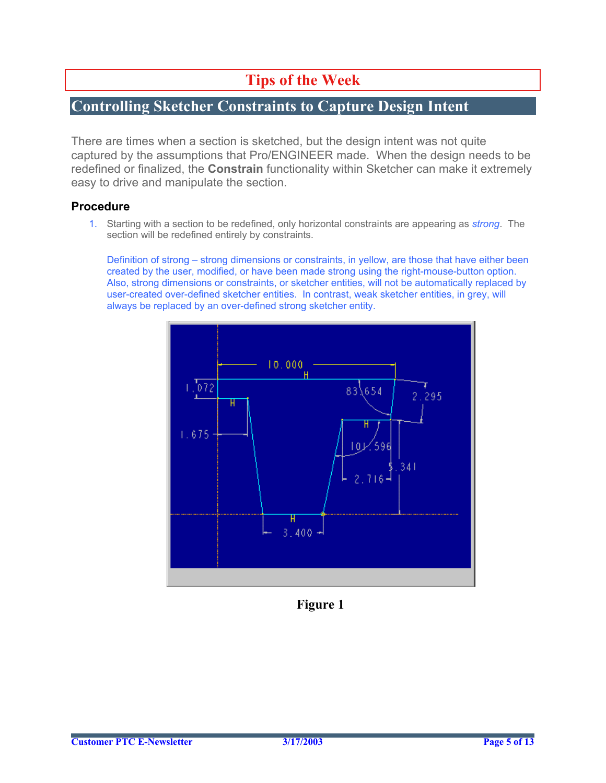## **Tips of the Week**

### <span id="page-4-0"></span>**Controlling Sketcher Constraints to Capture Design Intent**

There are times when a section is sketched, but the design intent was not quite captured by the assumptions that Pro/ENGINEER made. When the design needs to be redefined or finalized, the **Constrain** functionality within Sketcher can make it extremely easy to drive and manipulate the section.

#### **Procedure**

1. Starting with a section to be redefined, only horizontal constraints are appearing as *strong*. The section will be redefined entirely by constraints.

Definition of strong – strong dimensions or constraints, in yellow, are those that have either been created by the user, modified, or have been made strong using the right-mouse-button option. Also, strong dimensions or constraints, or sketcher entities, will not be automatically replaced by user-created over-defined sketcher entities. In contrast, weak sketcher entities, in grey, will always be replaced by an over-defined strong sketcher entity.



**Figure 1**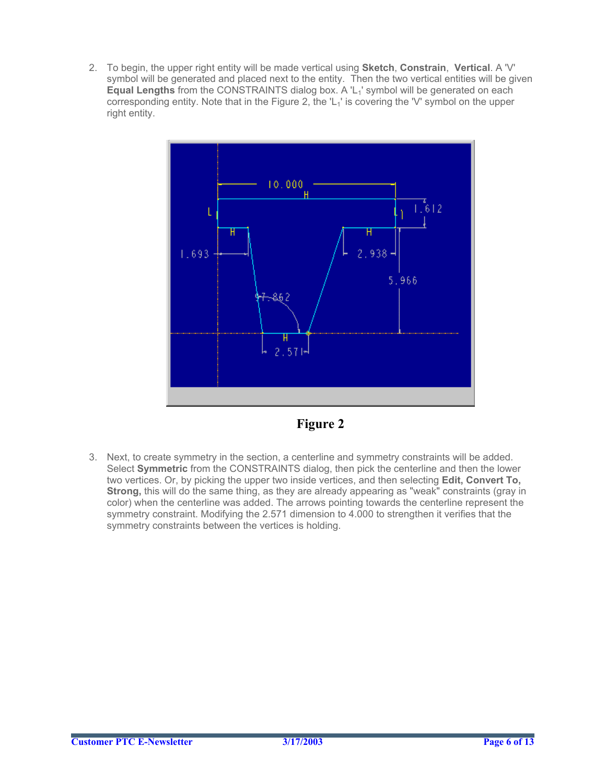2. To begin, the upper right entity will be made vertical using **Sketch**, **Constrain**, **Vertical**. A 'V' symbol will be generated and placed next to the entity. Then the two vertical entities will be given **Equal Lengths** from the CONSTRAINTS dialog box. A 'L<sub>1</sub>' symbol will be generated on each corresponding entity. Note that in the Figure 2, the  $L_1$ ' is covering the 'V' symbol on the upper right entity.





3. Next, to create symmetry in the section, a centerline and symmetry constraints will be added. Select **Symmetric** from the CONSTRAINTS dialog, then pick the centerline and then the lower two vertices. Or, by picking the upper two inside vertices, and then selecting **Edit, Convert To, Strong,** this will do the same thing, as they are already appearing as "weak" constraints (gray in color) when the centerline was added. The arrows pointing towards the centerline represent the symmetry constraint. Modifying the 2.571 dimension to 4.000 to strengthen it verifies that the symmetry constraints between the vertices is holding.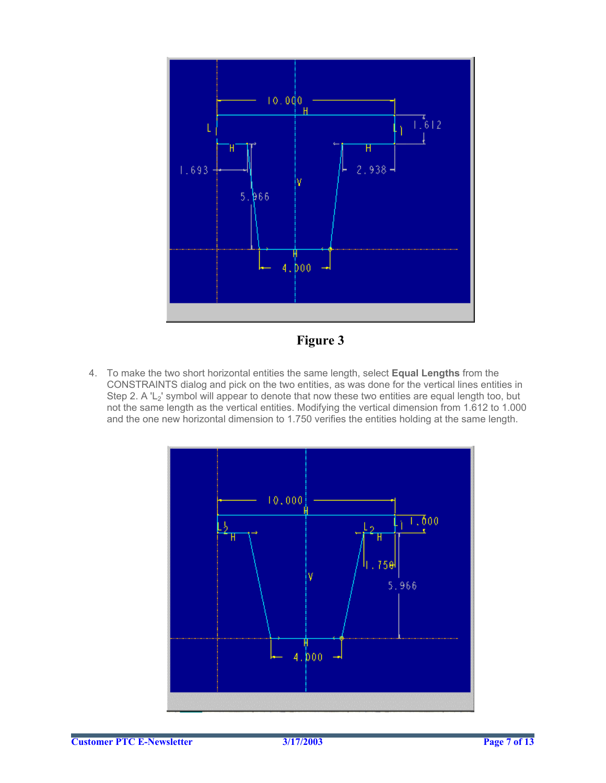

**Figure 3**

4. To make the two short horizontal entities the same length, select **Equal Lengths** from the CONSTRAINTS dialog and pick on the two entities, as was done for the vertical lines entities in Step 2. A 'L<sub>2</sub>' symbol will appear to denote that now these two entities are equal length too, but not the same length as the vertical entities. Modifying the vertical dimension from 1.612 to 1.000 and the one new horizontal dimension to 1.750 verifies the entities holding at the same length.

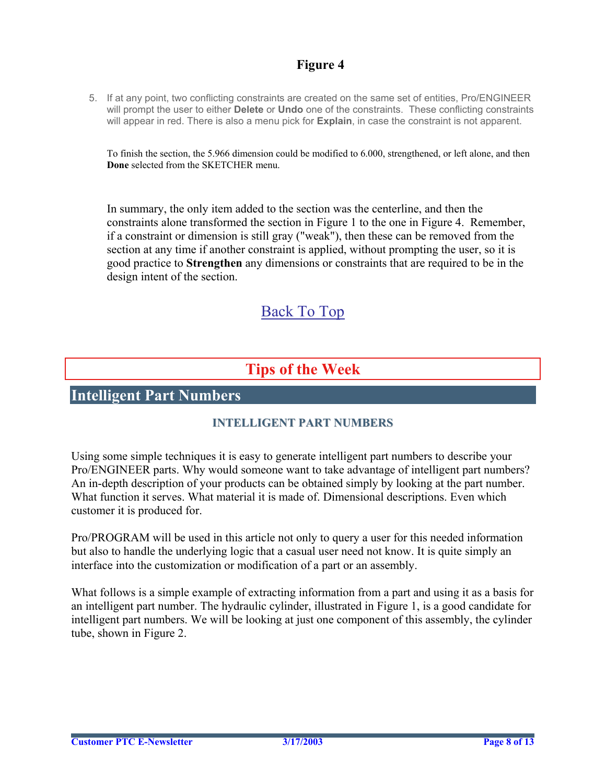### **Figure 4**

<span id="page-7-0"></span>5. If at any point, two conflicting constraints are created on the same set of entities, Pro/ENGINEER will prompt the user to either **Delete** or **Undo** one of the constraints. These conflicting constraints will appear in red. There is also a menu pick for **Explain**, in case the constraint is not apparent.

To finish the section, the 5.966 dimension could be modified to 6.000, strengthened, or left alone, and then **Done** selected from the SKETCHER menu.

In summary, the only item added to the section was the centerline, and then the constraints alone transformed the section in Figure 1 to the one in Figure 4. Remember, if a constraint or dimension is still gray ("weak"), then these can be removed from the section at any time if another constraint is applied, without prompting the user, so it is good practice to **Strengthen** any dimensions or constraints that are required to be in the design intent of the section.

## [Back To Top](#page-0-0)

## **Tips of the Week**

### **Intelligent Part Numbers**

#### **INTELLIGENT PART NUMBERS**

Using some simple techniques it is easy to generate intelligent part numbers to describe your Pro/ENGINEER parts. Why would someone want to take advantage of intelligent part numbers? An in-depth description of your products can be obtained simply by looking at the part number. What function it serves. What material it is made of. Dimensional descriptions. Even which customer it is produced for.

Pro/PROGRAM will be used in this article not only to query a user for this needed information but also to handle the underlying logic that a casual user need not know. It is quite simply an interface into the customization or modification of a part or an assembly.

What follows is a simple example of extracting information from a part and using it as a basis for an intelligent part number. The hydraulic cylinder, illustrated in Figure 1, is a good candidate for intelligent part numbers. We will be looking at just one component of this assembly, the cylinder tube, shown in Figure 2.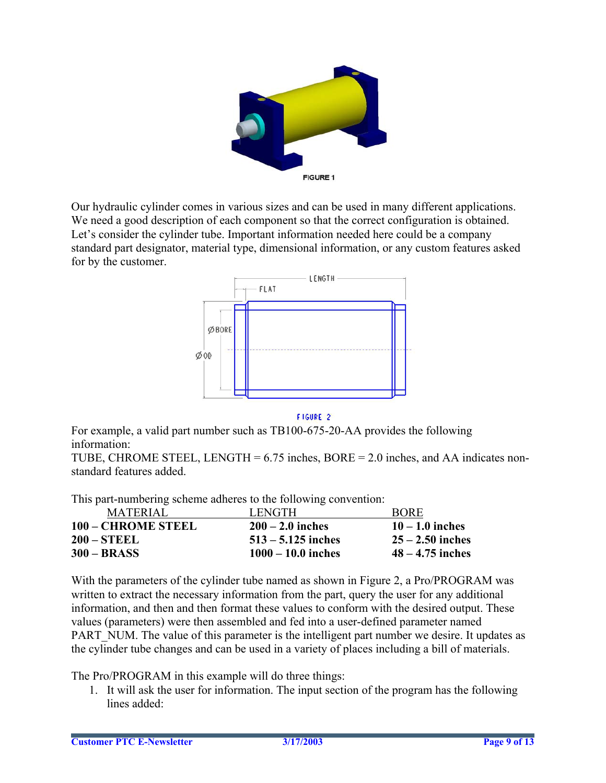

Our hydraulic cylinder comes in various sizes and can be used in many different applications. We need a good description of each component so that the correct configuration is obtained. Let's consider the cylinder tube. Important information needed here could be a company standard part designator, material type, dimensional information, or any custom features asked for by the customer.



FIGURE 2

For example, a valid part number such as TB100-675-20-AA provides the following information:

TUBE, CHROME STEEL, LENGTH =  $6.75$  inches, BORE =  $2.0$  inches, and AA indicates nonstandard features added.

This part-numbering scheme adheres to the following convention:

| <b>MATERIAL</b>    | LENGTH               | <b>BORE</b>        |
|--------------------|----------------------|--------------------|
| 100 – CHROME STEEL | $200 - 2.0$ inches   | $10 - 1.0$ inches  |
| <b>200 – STEEL</b> | $513 - 5.125$ inches | $25 - 2.50$ inches |
| $300 - BRASS$      | $1000 - 10.0$ inches | $48 - 4.75$ inches |

With the parameters of the cylinder tube named as shown in Figure 2, a Pro/PROGRAM was written to extract the necessary information from the part, query the user for any additional information, and then and then format these values to conform with the desired output. These values (parameters) were then assembled and fed into a user-defined parameter named PART NUM. The value of this parameter is the intelligent part number we desire. It updates as the cylinder tube changes and can be used in a variety of places including a bill of materials.

The Pro/PROGRAM in this example will do three things:

1. It will ask the user for information. The input section of the program has the following lines added: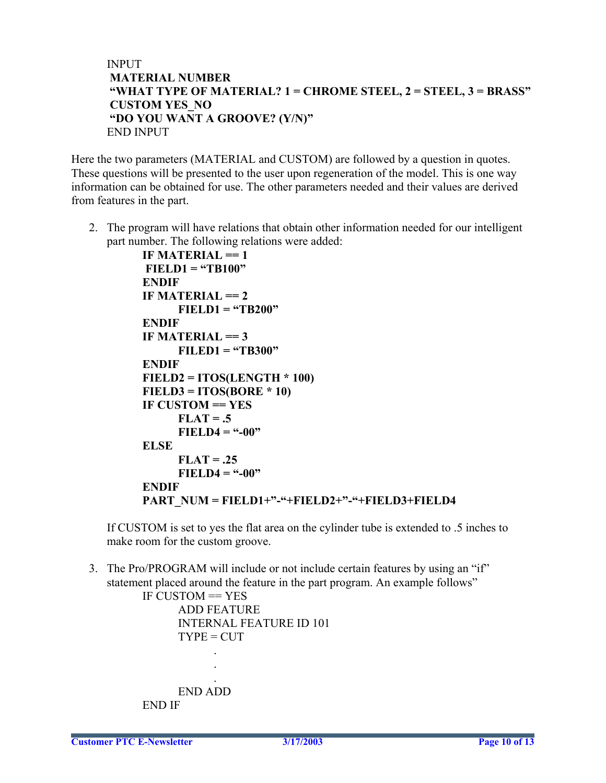#### INPUT **MATERIAL NUMBER "WHAT TYPE OF MATERIAL? 1 = CHROME STEEL, 2 = STEEL, 3 = BRASS" CUSTOM YES\_NO "DO YOU WANT A GROOVE? (Y/N)"**  END INPUT

Here the two parameters (MATERIAL and CUSTOM) are followed by a question in quotes. These questions will be presented to the user upon regeneration of the model. This is one way information can be obtained for use. The other parameters needed and their values are derived from features in the part.

2. The program will have relations that obtain other information needed for our intelligent part number. The following relations were added:

```
IF MATERIAL == 1 
 FIELD1 = "TB100" 
ENDIF
IF MATERIAL == 2FIELD1 = "TB200" 
ENDIF 
IF MATERIAL == 3 
     FILED1 = "TB300" 
ENDIF 
FIELD2 = ITOS(LENGTH * 100) 
FIELD3 = ITOS(BORE * 10) 
IF CUSTOM == YES 
     FLAT = .5 FIELD4 = "-00" 
ELSE 
     FLAT = .25 
      FIELD4 = "-00" 
ENDIF 
PART_NUM = FIELD1+"-"+FIELD2+"-"+FIELD3+FIELD4
```
If CUSTOM is set to yes the flat area on the cylinder tube is extended to .5 inches to make room for the custom groove.

3. The Pro/PROGRAM will include or not include certain features by using an "if" statement placed around the feature in the part program. An example follows"

```
IF CUSTOM == YES
    ADD FEATURE 
    INTERNAL FEATURE ID 101 
    TYPE = CUT .
```
 END ADD END IF

 . .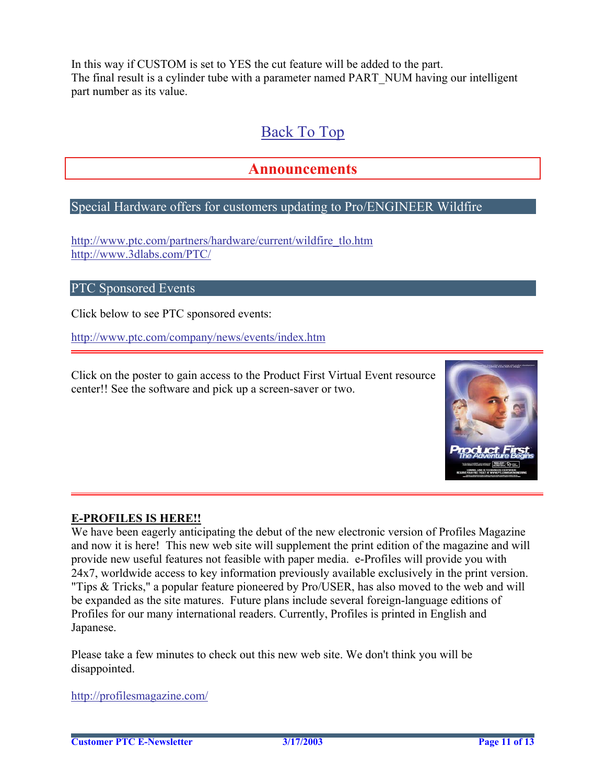<span id="page-10-0"></span>In this way if CUSTOM is set to YES the cut feature will be added to the part. The final result is a cylinder tube with a parameter named PART\_NUM having our intelligent part number as its value.

## [Back To Top](#page-0-0)

### **Announcements**

#### Special Hardware offers for customers updating to Pro/ENGINEER Wildfire

[http://www.ptc.com/partners/hardware/current/wildfire\\_tlo.htm](http://www.ptc.com/partners/hardware/current/wildfire_tlo.htm)  <http://www.3dlabs.com/PTC/>

#### PTC Sponsored Events

Click below to see PTC sponsored events:

<http://www.ptc.com/company/news/events/index.htm>

Click on the poster to gain access to the Product First Virtual Event resource center!! See the software and pick up a screen-saver or two.



#### **E-PROFILES IS HERE!!**

We have been eagerly anticipating the debut of the new electronic version of Profiles Magazine and now it is here! This new web site will supplement the print edition of the magazine and will provide new useful features not feasible with paper media. e-Profiles will provide you with 24x7, worldwide access to key information previously available exclusively in the print version. "Tips & Tricks," a popular feature pioneered by Pro/USER, has also moved to the web and will be expanded as the site matures. Future plans include several foreign-language editions of Profiles for our many international readers. Currently, Profiles is printed in English and Japanese.

Please take a few minutes to check out this new web site. We don't think you will be disappointed.

<http://profilesmagazine.com/>